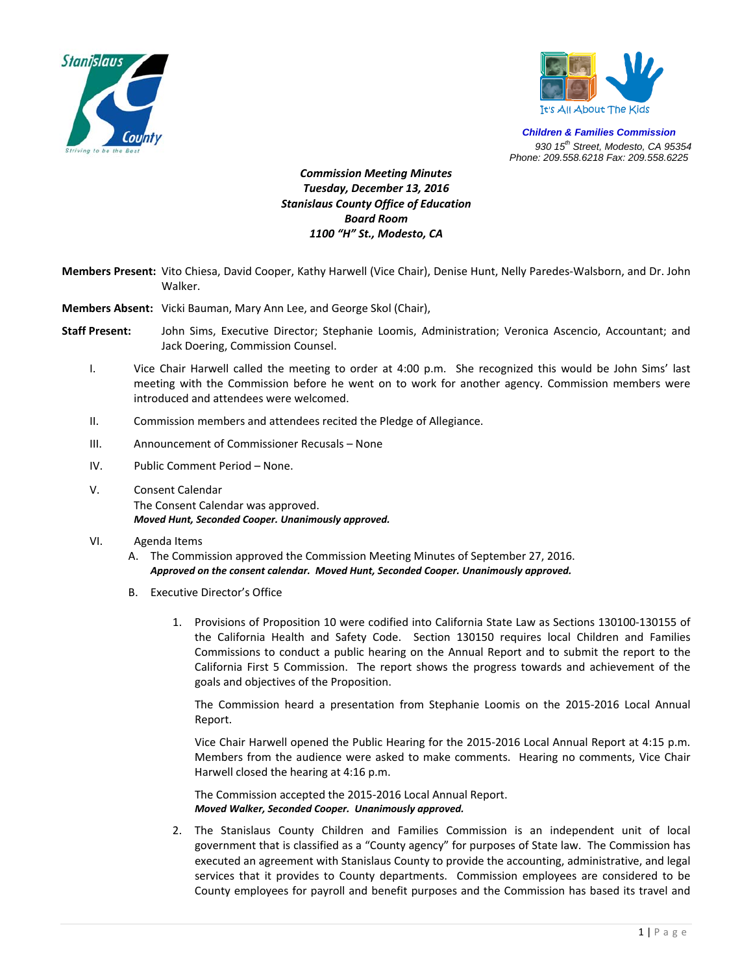



*Children & Families Commission 930 15th Street, Modesto, CA 95354 Phone: 209.558.6218 Fax: 209.558.6225*

## *Commission Meeting Minutes Tuesday, December 13, 2016 Stanislaus County Office of Education Board Room 1100 "H" St., Modesto, CA*

- **Members Present:** Vito Chiesa, David Cooper, Kathy Harwell (Vice Chair), Denise Hunt, Nelly Paredes‐Walsborn, and Dr. John Walker.
- **Members Absent:** Vicki Bauman, Mary Ann Lee, and George Skol (Chair),
- **Staff Present:** John Sims, Executive Director; Stephanie Loomis, Administration; Veronica Ascencio, Accountant; and Jack Doering, Commission Counsel.
	- I. Vice Chair Harwell called the meeting to order at 4:00 p.m. She recognized this would be John Sims' last meeting with the Commission before he went on to work for another agency. Commission members were introduced and attendees were welcomed.
	- II. Commission members and attendees recited the Pledge of Allegiance.
	- III. Announcement of Commissioner Recusals None
	- IV. Public Comment Period None.
	- V. Consent Calendar The Consent Calendar was approved. *Moved Hunt, Seconded Cooper. Unanimously approved.*

## VI. Agenda Items

- A. The Commission approved the Commission Meeting Minutes of September 27, 2016. *Approved on the consent calendar. Moved Hunt, Seconded Cooper. Unanimously approved.*
- B. Executive Director's Office
	- 1. Provisions of Proposition 10 were codified into California State Law as Sections 130100‐130155 of the California Health and Safety Code. Section 130150 requires local Children and Families Commissions to conduct a public hearing on the Annual Report and to submit the report to the California First 5 Commission. The report shows the progress towards and achievement of the goals and objectives of the Proposition.

The Commission heard a presentation from Stephanie Loomis on the 2015‐2016 Local Annual Report.

Vice Chair Harwell opened the Public Hearing for the 2015‐2016 Local Annual Report at 4:15 p.m. Members from the audience were asked to make comments. Hearing no comments, Vice Chair Harwell closed the hearing at 4:16 p.m.

The Commission accepted the 2015‐2016 Local Annual Report. *Moved Walker, Seconded Cooper. Unanimously approved.*

2. The Stanislaus County Children and Families Commission is an independent unit of local government that is classified as a "County agency" for purposes of State law. The Commission has executed an agreement with Stanislaus County to provide the accounting, administrative, and legal services that it provides to County departments. Commission employees are considered to be County employees for payroll and benefit purposes and the Commission has based its travel and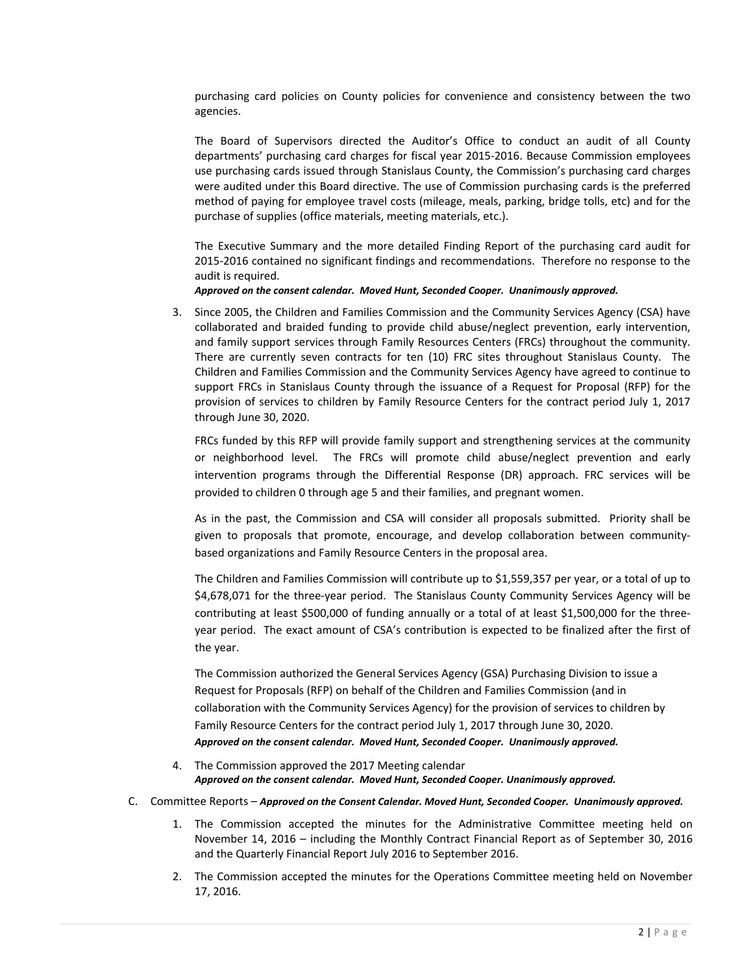purchasing card policies on County policies for convenience and consistency between the two agencies.

The Board of Supervisors directed the Auditor's Office to conduct an audit of all County departments' purchasing card charges for fiscal year 2015‐2016. Because Commission employees use purchasing cards issued through Stanislaus County, the Commission's purchasing card charges were audited under this Board directive. The use of Commission purchasing cards is the preferred method of paying for employee travel costs (mileage, meals, parking, bridge tolls, etc) and for the purchase of supplies (office materials, meeting materials, etc.).

The Executive Summary and the more detailed Finding Report of the purchasing card audit for 2015‐2016 contained no significant findings and recommendations. Therefore no response to the audit is required.

## *Approved on the consent calendar. Moved Hunt, Seconded Cooper. Unanimously approved.*

3. Since 2005, the Children and Families Commission and the Community Services Agency (CSA) have collaborated and braided funding to provide child abuse/neglect prevention, early intervention, and family support services through Family Resources Centers (FRCs) throughout the community. There are currently seven contracts for ten (10) FRC sites throughout Stanislaus County. The Children and Families Commission and the Community Services Agency have agreed to continue to support FRCs in Stanislaus County through the issuance of a Request for Proposal (RFP) for the provision of services to children by Family Resource Centers for the contract period July 1, 2017 through June 30, 2020.

FRCs funded by this RFP will provide family support and strengthening services at the community or neighborhood level. The FRCs will promote child abuse/neglect prevention and early intervention programs through the Differential Response (DR) approach. FRC services will be provided to children 0 through age 5 and their families, and pregnant women.

As in the past, the Commission and CSA will consider all proposals submitted. Priority shall be given to proposals that promote, encourage, and develop collaboration between community‐ based organizations and Family Resource Centers in the proposal area.

The Children and Families Commission will contribute up to \$1,559,357 per year, or a total of up to \$4,678,071 for the three-year period. The Stanislaus County Community Services Agency will be contributing at least \$500,000 of funding annually or a total of at least \$1,500,000 for the three‐ year period. The exact amount of CSA's contribution is expected to be finalized after the first of the year.

The Commission authorized the General Services Agency (GSA) Purchasing Division to issue a Request for Proposals (RFP) on behalf of the Children and Families Commission (and in collaboration with the Community Services Agency) for the provision of services to children by Family Resource Centers for the contract period July 1, 2017 through June 30, 2020. *Approved on the consent calendar. Moved Hunt, Seconded Cooper. Unanimously approved.*

- 4. The Commission approved the 2017 Meeting calendar *Approved on the consent calendar. Moved Hunt, Seconded Cooper. Unanimously approved.*
- C. Committee Reports *Approved on the Consent Calendar. Moved Hunt, Seconded Cooper. Unanimously approved.*
	- 1. The Commission accepted the minutes for the Administrative Committee meeting held on November 14, 2016 – including the Monthly Contract Financial Report as of September 30, 2016 and the Quarterly Financial Report July 2016 to September 2016.
	- 2. The Commission accepted the minutes for the Operations Committee meeting held on November 17, 2016.